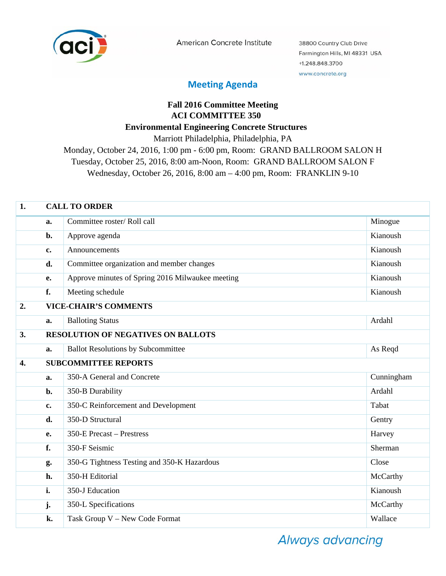

American Concrete Institute

38800 Country Club Drive Farmington Hills, MI 48331 USA +1.248.848.3700 www.concrete.org

## **Meeting Agenda**

## **Fall 2016 Committee Meeting ACI COMMITTEE 350 Environmental Engineering Concrete Structures**  Marriott Philadelphia, Philadelphia, PA

Monday, October 24, 2016, 1:00 pm - 6:00 pm, Room: GRAND BALLROOM SALON H Tuesday, October 25, 2016, 8:00 am-Noon, Room: GRAND BALLROOM SALON F Wednesday, October 26, 2016, 8:00 am – 4:00 pm, Room: FRANKLIN 9-10

| 1.               | <b>CALL TO ORDER</b> |                                                  |            |  |
|------------------|----------------------|--------------------------------------------------|------------|--|
|                  | a.                   | Committee roster/Roll call                       | Minogue    |  |
|                  | b.                   | Approve agenda                                   | Kianoush   |  |
|                  | c.                   | Announcements                                    | Kianoush   |  |
|                  | d.                   | Committee organization and member changes        | Kianoush   |  |
|                  | e.                   | Approve minutes of Spring 2016 Milwaukee meeting | Kianoush   |  |
|                  | f.                   | Meeting schedule                                 | Kianoush   |  |
| 2.               |                      | <b>VICE-CHAIR'S COMMENTS</b>                     |            |  |
|                  | a.                   | <b>Balloting Status</b>                          | Ardahl     |  |
| 3.               |                      | <b>RESOLUTION OF NEGATIVES ON BALLOTS</b>        |            |  |
|                  | a.                   | <b>Ballot Resolutions by Subcommittee</b>        | As Reqd    |  |
| $\overline{4}$ . |                      | <b>SUBCOMMITTEE REPORTS</b>                      |            |  |
|                  | a.                   | 350-A General and Concrete                       | Cunningham |  |
|                  | b.                   | 350-B Durability                                 | Ardahl     |  |
|                  | c.                   | 350-C Reinforcement and Development              | Tabat      |  |
|                  | d.                   | 350-D Structural                                 | Gentry     |  |
|                  | e.                   | 350-E Precast - Prestress                        | Harvey     |  |
|                  | f.                   | 350-F Seismic                                    | Sherman    |  |
|                  | g.                   | 350-G Tightness Testing and 350-K Hazardous      | Close      |  |
|                  | h.                   | 350-H Editorial                                  | McCarthy   |  |
|                  | i.                   | 350-J Education                                  | Kianoush   |  |
|                  | j.                   | 350-L Specifications                             | McCarthy   |  |
|                  | k.                   | Task Group V - New Code Format                   | Wallace    |  |

**Always advancing**